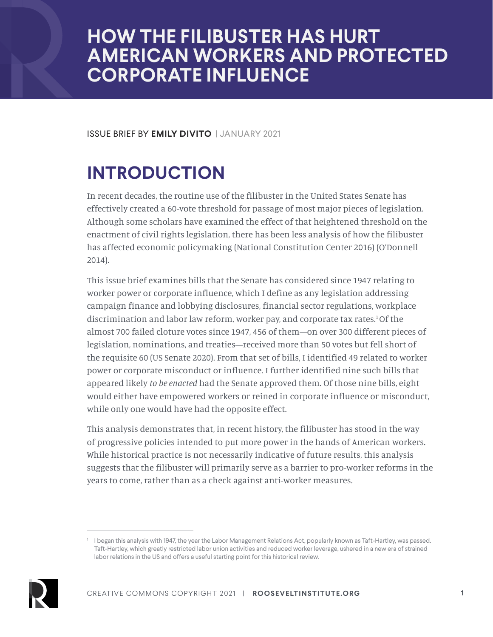# **HOW THE FILIBUSTER HAS HURT AMERICAN WORKERS AND PROTECTED CORPORATE INFLUENCE**

ISSUE BRIEF BY **EMILY DIVITO** | JANUARY 2021

# **INTRODUCTION**

In recent decades, the routine use of the filibuster in the United States Senate has effectively created a 60-vote threshold for passage of most major pieces of legislation. Although some scholars have examined the effect of that heightened threshold on the enactment of civil rights legislation, there has been less analysis of how the filibuster has affected economic policymaking (National Constitution Center 2016) (O'Donnell 2014).

This issue brief examines bills that the Senate has considered since 1947 relating to worker power or corporate influence, which I define as any legislation addressing campaign finance and lobbying disclosures, financial sector regulations, workplace discrimination and labor law reform, worker pay, and corporate tax rates.1 Of the almost 700 failed cloture votes since 1947, 456 of them—on over 300 different pieces of legislation, nominations, and treaties—received more than 50 votes but fell short of the requisite 60 (US Senate 2020). From that set of bills, I identified 49 related to worker power or corporate misconduct or influence. I further identified nine such bills that appeared likely *to be enacted* had the Senate approved them. Of those nine bills, eight would either have empowered workers or reined in corporate influence or misconduct, while only one would have had the opposite effect.

This analysis demonstrates that, in recent history, the filibuster has stood in the way of progressive policies intended to put more power in the hands of American workers. While historical practice is not necessarily indicative of future results, this analysis suggests that the filibuster will primarily serve as a barrier to pro-worker reforms in the years to come, rather than as a check against anti-worker measures.

<sup>1</sup> I began this analysis with 1947, the year the Labor Management Relations Act, popularly known as Taft-Hartley, was passed. Taft-Hartley, which greatly restricted labor union activities and reduced worker leverage, ushered in a new era of strained labor relations in the US and offers a useful starting point for this historical review.

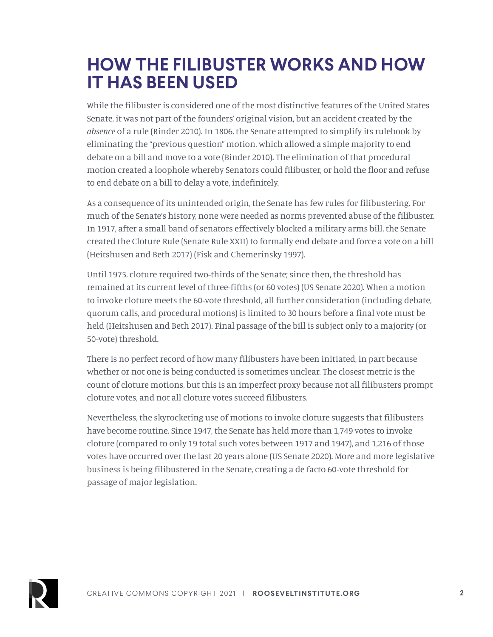# **HOW THE FILIBUSTER WORKS AND HOW IT HAS BEEN USED**

While the filibuster is considered one of the most distinctive features of the United States Senate, it was not part of the founders' original vision, but an accident created by the *absence* of a rule (Binder 2010). In 1806, the Senate attempted to simplify its rulebook by eliminating the "previous question" motion, which allowed a simple majority to end debate on a bill and move to a vote (Binder 2010). The elimination of that procedural motion created a loophole whereby Senators could filibuster, or hold the floor and refuse to end debate on a bill to delay a vote, indefinitely.

As a consequence of its unintended origin, the Senate has few rules for filibustering. For much of the Senate's history, none were needed as norms prevented abuse of the filibuster. In 1917, after a small band of senators effectively blocked a military arms bill, the Senate created the Cloture Rule (Senate Rule XXII) to formally end debate and force a vote on a bill (Heitshusen and Beth 2017) (Fisk and Chemerinsky 1997).

Until 1975, cloture required two-thirds of the Senate; since then, the threshold has remained at its current level of three-fifths (or 60 votes) (US Senate 2020). When a motion to invoke cloture meets the 60-vote threshold, all further consideration (including debate, quorum calls, and procedural motions) is limited to 30 hours before a final vote must be held (Heitshusen and Beth 2017). Final passage of the bill is subject only to a majority (or 50-vote) threshold.

There is no perfect record of how many filibusters have been initiated, in part because whether or not one is being conducted is sometimes unclear. The closest metric is the count of cloture motions, but this is an imperfect proxy because not all filibusters prompt cloture votes, and not all cloture votes succeed filibusters.

Nevertheless, the skyrocketing use of motions to invoke cloture suggests that filibusters have become routine. Since 1947, the Senate has held more than 1,749 votes to invoke cloture (compared to only 19 total such votes between 1917 and 1947), and 1,216 of those votes have occurred over the last 20 years alone (US Senate 2020). More and more legislative business is being filibustered in the Senate, creating a de facto 60-vote threshold for passage of major legislation.

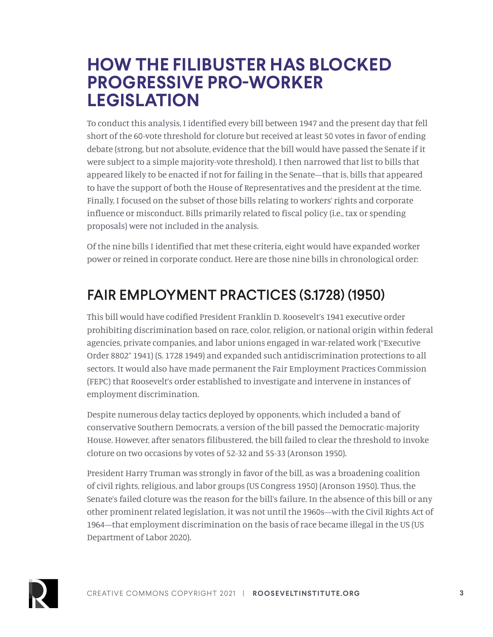### **HOW THE FILIBUSTER HAS BLOCKED PROGRESSIVE PRO-WORKER LEGISLATION**

To conduct this analysis, I identified every bill between 1947 and the present day that fell short of the 60-vote threshold for cloture but received at least 50 votes in favor of ending debate (strong, but not absolute, evidence that the bill would have passed the Senate if it were subject to a simple majority-vote threshold). I then narrowed that list to bills that appeared likely to be enacted if not for failing in the Senate—that is, bills that appeared to have the support of both the House of Representatives and the president at the time. Finally, I focused on the subset of those bills relating to workers' rights and corporate influence or misconduct. Bills primarily related to fiscal policy (i.e., tax or spending proposals) were not included in the analysis.

Of the nine bills I identified that met these criteria, eight would have expanded worker power or reined in corporate conduct. Here are those nine bills in chronological order:

### FAIR EMPLOYMENT PRACTICES (S.1728) (1950)

This bill would have codified President Franklin D. Roosevelt's 1941 executive order prohibiting discrimination based on race, color, religion, or national origin within federal agencies, private companies, and labor unions engaged in war-related work ("Executive Order 8802" 1941) (S. 1728 1949) and expanded such antidiscrimination protections to all sectors. It would also have made permanent the Fair Employment Practices Commission (FEPC) that Roosevelt's order established to investigate and intervene in instances of employment discrimination.

Despite numerous delay tactics deployed by opponents, which included a band of conservative Southern Democrats, a version of the bill passed the Democratic-majority House. However, after senators filibustered, the bill failed to clear the threshold to invoke cloture on two occasions by votes of 52-32 and 55-33 (Aronson 1950).

President Harry Truman was strongly in favor of the bill, as was a broadening coalition of civil rights, religious, and labor groups (US Congress 1950) (Aronson 1950). Thus, the Senate's failed cloture was the reason for the bill's failure. In the absence of this bill or any other prominent related legislation, it was not until the 1960s—with the Civil Rights Act of 1964—that employment discrimination on the basis of race became illegal in the US (US Department of Labor 2020).

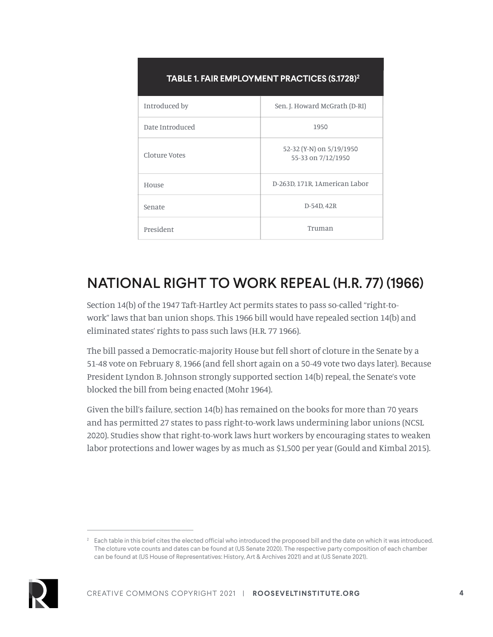| <b>TABLE 1. FAIR EMPLOYMENT PRACTICES (S.1728)<sup>2</sup></b> |                                                |
|----------------------------------------------------------------|------------------------------------------------|
| Introduced by                                                  | Sen. J. Howard McGrath (D-RI)                  |
| Date Introduced                                                | 1950                                           |
| Cloture Votes                                                  | 52-32 (Y-N) on 5/19/1950<br>55-33 on 7/12/1950 |
| House                                                          | D-263D, 171R, 1American Labor                  |
| Senate                                                         | D-54D, 42R                                     |
| President                                                      | Truman                                         |

### NATIONAL RIGHT TO WORK REPEAL (H.R. 77) (1966)

Section 14(b) of the 1947 Taft-Hartley Act permits states to pass so-called "right-towork" laws that ban union shops. This 1966 bill would have repealed section 14(b) and eliminated states' rights to pass such laws (H.R. 77 1966).

The bill passed a Democratic-majority House but fell short of cloture in the Senate by a 51-48 vote on February 8, 1966 (and fell short again on a 50-49 vote two days later). Because President Lyndon B. Johnson strongly supported section 14(b) repeal, the Senate's vote blocked the bill from being enacted (Mohr 1964).

Given the bill's failure, section 14(b) has remained on the books for more than 70 years and has permitted 27 states to pass right-to-work laws undermining labor unions (NCSL 2020). Studies show that right-to-work laws hurt workers by encouraging states to weaken labor protections and lower wages by as much as \$1,500 per year (Gould and Kimbal 2015).

<sup>2</sup> Each table in this brief cites the elected official who introduced the proposed bill and the date on which it was introduced. The cloture vote counts and dates can be found at (US Senate 2020). The respective party composition of each chamber can be found at (US House of Representatives: History, Art & Archives 2021) and at (US Senate 2021).

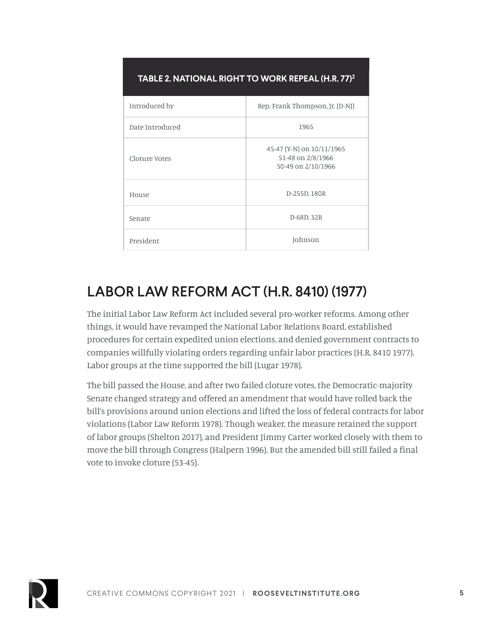| TABLE 2. NATIONAL RIGHT TO WORK REPEAL (H.R. 77) <sup>2</sup> |                                                                      |
|---------------------------------------------------------------|----------------------------------------------------------------------|
| Introduced by                                                 | Rep. Frank Thompson, Jr. (D-NJ)                                      |
| Date Introduced                                               | 1965                                                                 |
| Cloture Votes                                                 | 45-47 (Y-N) on 10/11/1965<br>51-48 on 2/8/1966<br>50-49 on 2/10/1966 |
| House                                                         | D-255D, 180R                                                         |
| Senate                                                        | D-68D, 32R                                                           |
| President                                                     | Johnson                                                              |

### LABOR LAW REFORM ACT (H.R. 8410) (1977)

The initial Labor Law Reform Act included several pro-worker reforms. Among other things, it would have revamped the National Labor Relations Board, established procedures for certain expedited union elections, and denied government contracts to companies willfully violating orders regarding unfair labor practices (H.R. 8410 1977). Labor groups at the time supported the bill (Lugar 1978).

The bill passed the House, and after two failed cloture votes, the Democratic-majority Senate changed strategy and offered an amendment that would have rolled back the bill's provisions around union elections and lifted the loss of federal contracts for labor violations (Labor Law Reform 1978). Though weaker, the measure retained the support of labor groups (Shelton 2017), and President Jimmy Carter worked closely with them to move the bill through Congress (Halpern 1996). But the amended bill still failed a final vote to invoke cloture (53-45).

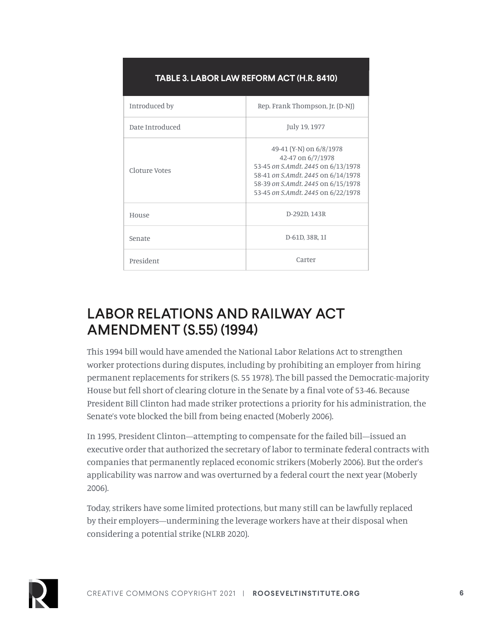| TABLE 3. LABOR LAW REFORM ACT (H.R. 8410) |                                                                                                                                                                                                      |
|-------------------------------------------|------------------------------------------------------------------------------------------------------------------------------------------------------------------------------------------------------|
| Introduced by                             | Rep. Frank Thompson, Jr. (D-NJ)                                                                                                                                                                      |
| Date Introduced                           | July 19, 1977                                                                                                                                                                                        |
| Cloture Votes                             | 49-41 (Y-N) on 6/8/1978<br>42-47 on 6/7/1978<br>53-45 on S.Amdt. 2445 on 6/13/1978<br>58-41 on S.Amdt. 2445 on 6/14/1978<br>58-39 on S.Amdt, 2445 on 6/15/1978<br>53-45 on S.Amdt, 2445 on 6/22/1978 |
| House                                     | D-292D, 143R                                                                                                                                                                                         |
| Senate                                    | D-61D, 38R, 1I                                                                                                                                                                                       |
| President                                 | Carter                                                                                                                                                                                               |

### **TABLE 3. LABOR LAW REFORM ACT (H.R. 8410)**

### LABOR RELATIONS AND RAILWAY ACT AMENDMENT (S.55) (1994)

This 1994 bill would have amended the National Labor Relations Act to strengthen worker protections during disputes, including by prohibiting an employer from hiring permanent replacements for strikers (S. 55 1978). The bill passed the Democratic-majority House but fell short of clearing cloture in the Senate by a final vote of 53-46. Because President Bill Clinton had made striker protections a priority for his administration, the Senate's vote blocked the bill from being enacted (Moberly 2006).

In 1995, President Clinton—attempting to compensate for the failed bill—issued an executive order that authorized the secretary of labor to terminate federal contracts with companies that permanently replaced economic strikers (Moberly 2006). But the order's applicability was narrow and was overturned by a federal court the next year (Moberly 2006).

Today, strikers have some limited protections, but many still can be lawfully replaced by their employers—undermining the leverage workers have at their disposal when considering a potential strike (NLRB 2020).

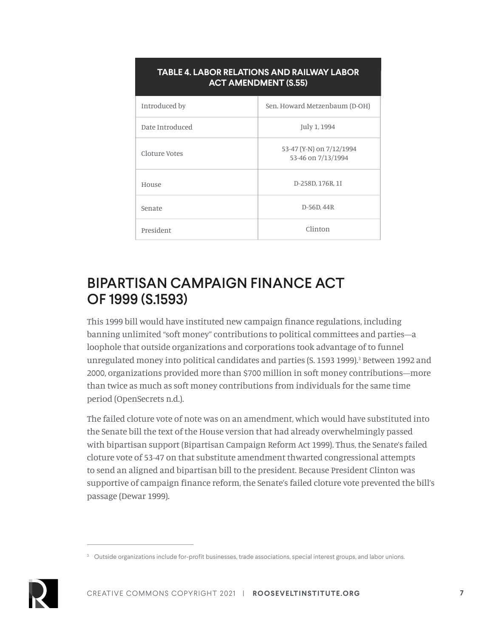| TABLE 4. LABOR RELATIONS AND RAILWAY LABOR<br><b>ACT AMENDMENT (S.55)</b> |                                                |
|---------------------------------------------------------------------------|------------------------------------------------|
| Introduced by                                                             | Sen. Howard Metzenbaum (D-OH)                  |
| Date Introduced                                                           | July 1, 1994                                   |
| Cloture Votes                                                             | 53-47 (Y-N) on 7/12/1994<br>53-46 on 7/13/1994 |
| House                                                                     | D-258D, 176R, 1I                               |
| Senate                                                                    | D-56D, 44R                                     |
| President                                                                 | Clinton                                        |

### BIPARTISAN CAMPAIGN FINANCE ACT OF 1999 (S.1593)

This 1999 bill would have instituted new campaign finance regulations, including banning unlimited "soft money" contributions to political committees and parties—a loophole that outside organizations and corporations took advantage of to funnel unregulated money into political candidates and parties (S. 1593 1999).<sup>3</sup> Between 1992 and 2000, organizations provided more than \$700 million in soft money contributions—more than twice as much as soft money contributions from individuals for the same time period (OpenSecrets n.d.).

The failed cloture vote of note was on an amendment, which would have substituted into the Senate bill the text of the House version that had already overwhelmingly passed with bipartisan support (Bipartisan Campaign Reform Act 1999). Thus, the Senate's failed cloture vote of 53-47 on that substitute amendment thwarted congressional attempts to send an aligned and bipartisan bill to the president. Because President Clinton was supportive of campaign finance reform, the Senate's failed cloture vote prevented the bill's passage (Dewar 1999).

<sup>&</sup>lt;sup>3</sup> Outside organizations include for-profit businesses, trade associations, special interest groups, and labor unions.

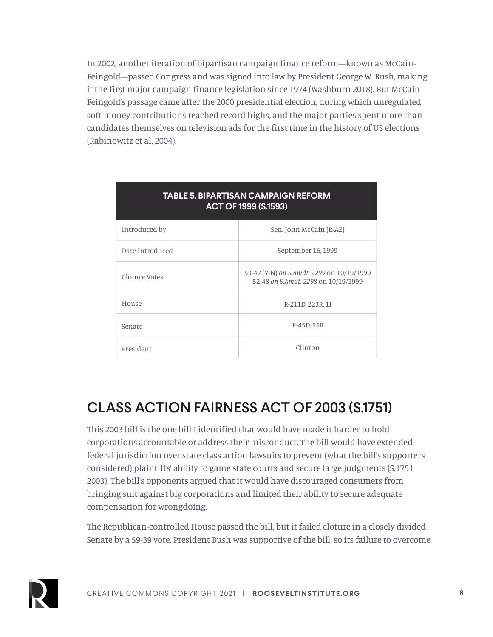In 2002, another iteration of bipartisan campaign finance reform—known as McCain-Feingold—passed Congress and was signed into law by President George W. Bush, making it the first major campaign finance legislation since 1974 (Washburn 2018). But McCain-Feingold's passage came after the 2000 presidential election, during which unregulated soft money contributions reached record highs, and the major parties spent more than candidates themselves on television ads for the first time in the history of US elections (Rabinowitz et al. 2004).

| <b>TABLE 5. BIPARTISAN CAMPAIGN REFORM</b><br>ACT OF 1999 (S.1593) |                                                                                  |
|--------------------------------------------------------------------|----------------------------------------------------------------------------------|
| Introduced by                                                      | Sen. John McCain (R-AZ)                                                          |
| Date Introduced                                                    | September 16, 1999                                                               |
| Cloture Votes                                                      | 53-47 (Y-N) on S.Amdt. 2299 on 10/19/1999<br>52-48 on S.Amdt. 2298 on 10/19/1999 |
| House                                                              | R-211D, 223R, 1I                                                                 |
| Senate                                                             | R-45D, 55R                                                                       |
| President                                                          | Clinton                                                                          |

### CLASS ACTION FAIRNESS ACT OF 2003 (S.1751)

This 2003 bill is the one bill I identified that would have made it harder to hold corporations accountable or address their misconduct. The bill would have extended federal jurisdiction over state class action lawsuits to prevent (what the bill's supporters considered) plaintiffs' ability to game state courts and secure large judgments (S.1751 2003). The bill's opponents argued that it would have discouraged consumers from bringing suit against big corporations and limited their ability to secure adequate compensation for wrongdoing.

The Republican-controlled House passed the bill, but it failed cloture in a closely divided Senate by a 59-39 vote. President Bush was supportive of the bill, so its failure to overcome

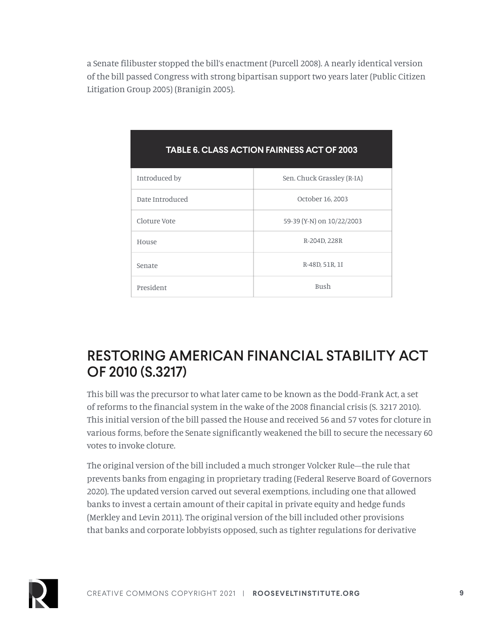a Senate filibuster stopped the bill's enactment (Purcell 2008). A nearly identical version of the bill passed Congress with strong bipartisan support two years later (Public Citizen Litigation Group 2005) (Branigin 2005).

| TADEE 0. GEASS AG HON FAINNESS AGT OF 2003 |                            |
|--------------------------------------------|----------------------------|
| Introduced by                              | Sen. Chuck Grassley (R-IA) |
| Date Introduced                            | October 16, 2003           |
| Cloture Vote                               | 59-39 (Y-N) on 10/22/2003  |
| House                                      | R-204D, 228R               |
| Senate                                     | R-48D, 51R, 1I             |
| President                                  | <b>Bush</b>                |

### **RIE G. CLASS ACTION FAIRNESS ACT OF 2003**

### RESTORING AMERICAN FINANCIAL STABILITY ACT OF 2010 (S.3217)

This bill was the precursor to what later came to be known as the Dodd-Frank Act, a set of reforms to the financial system in the wake of the 2008 financial crisis (S. 3217 2010). This initial version of the bill passed the House and received 56 and 57 votes for cloture in various forms, before the Senate significantly weakened the bill to secure the necessary 60 votes to invoke cloture.

The original version of the bill included a much stronger Volcker Rule—the rule that prevents banks from engaging in proprietary trading (Federal Reserve Board of Governors 2020). The updated version carved out several exemptions, including one that allowed banks to invest a certain amount of their capital in private equity and hedge funds (Merkley and Levin 2011). The original version of the bill included other provisions that banks and corporate lobbyists opposed, such as tighter regulations for derivative

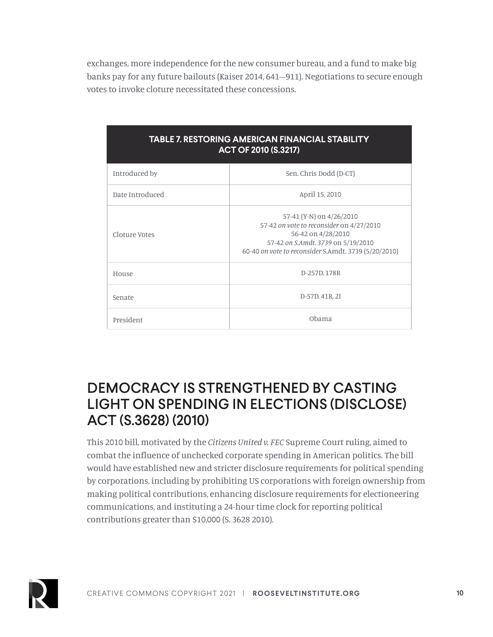exchanges, more independence for the new consumer bureau, and a fund to make big banks pay for any future bailouts (Kaiser 2014, 641–911). Negotiations to secure enough votes to invoke cloture necessitated these concessions.

| TABLE 7. RESTORING AMERICAN FINANCIAL STABILITY<br><b>ACT OF 2010 (S.3217)</b> |                                                                                                                                                                                          |
|--------------------------------------------------------------------------------|------------------------------------------------------------------------------------------------------------------------------------------------------------------------------------------|
| Introduced by                                                                  | Sen. Chris Dodd (D-CT)                                                                                                                                                                   |
| Date Introduced                                                                | April 15, 2010                                                                                                                                                                           |
| Cloture Votes                                                                  | 57-41 (Y-N) on 4/26/2010<br>57-42 on vote to reconsider on 4/27/2010<br>56-42 on 4/28/2010<br>57-42 on S.Amdt. 3739 on 5/19/2010<br>60-40 on vote to reconsider S.Amdt. 3739 (5/20/2010) |
| House                                                                          | D-257D, 178R                                                                                                                                                                             |
| Senate                                                                         | D-57D, 41R, 2I                                                                                                                                                                           |
| President                                                                      | Obama                                                                                                                                                                                    |

### DEMOCRACY IS STRENGTHENED BY CASTING LIGHT ON SPENDING IN ELECTIONS (DISCLOSE) ACT (S.3628) (2010)

This 2010 bill, motivated by the *Citizens United v. FEC* Supreme Court ruling, aimed to combat the influence of unchecked corporate spending in American politics. The bill would have established new and stricter disclosure requirements for political spending by corporations, including by prohibiting US corporations with foreign ownership from making political contributions, enhancing disclosure requirements for electioneering communications, and instituting a 24-hour time clock for reporting political contributions greater than \$10,000 (S. 3628 2010).

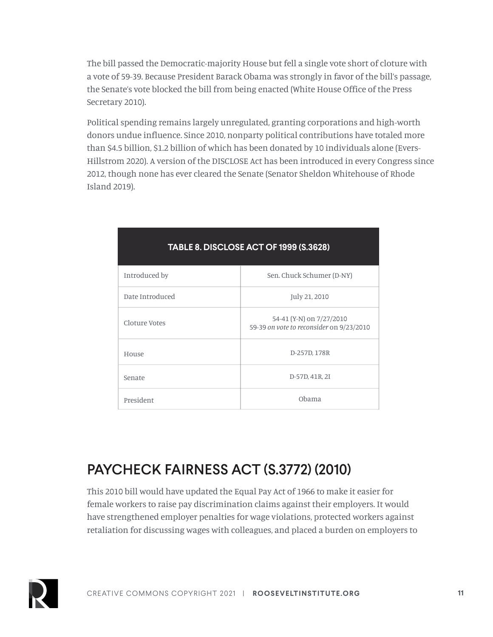The bill passed the Democratic-majority House but fell a single vote short of cloture with a vote of 59-39. Because President Barack Obama was strongly in favor of the bill's passage, the Senate's vote blocked the bill from being enacted (White House Office of the Press Secretary 2010).

Political spending remains largely unregulated, granting corporations and high-worth donors undue influence. Since 2010, nonparty political contributions have totaled more than \$4.5 billion, \$1.2 billion of which has been donated by 10 individuals alone (Evers-Hillstrom 2020). A version of the DISCLOSE Act has been introduced in every Congress since 2012, though none has ever cleared the Senate (Senator Sheldon Whitehouse of Rhode Island 2019).

| Introduced by   | Sen. Chuck Schumer (D-NY)                                            |
|-----------------|----------------------------------------------------------------------|
| Date Introduced | July 21, 2010                                                        |
| Cloture Votes   | 54-41 (Y-N) on 7/27/2010<br>59-39 on vote to reconsider on 9/23/2010 |
| House           | D-257D, 178R                                                         |
| Senate          | D-57D, 41R, 2I                                                       |
| President       | Obama                                                                |

### **TABLE 8. DISCLOSE ACT OF 1999 (S.3628)**

### PAYCHECK FAIRNESS ACT (S.3772) (2010)

This 2010 bill would have updated the Equal Pay Act of 1966 to make it easier for female workers to raise pay discrimination claims against their employers. It would have strengthened employer penalties for wage violations, protected workers against retaliation for discussing wages with colleagues, and placed a burden on employers to

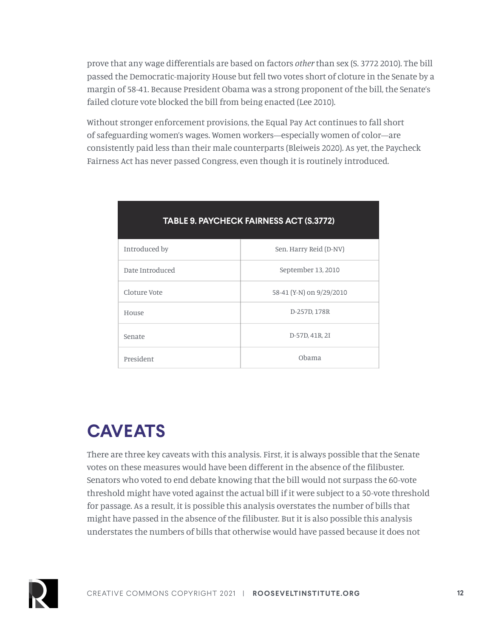prove that any wage differentials are based on factors *other* than sex (S. 3772 2010). The bill passed the Democratic-majority House but fell two votes short of cloture in the Senate by a margin of 58-41. Because President Obama was a strong proponent of the bill, the Senate's failed cloture vote blocked the bill from being enacted (Lee 2010).

Without stronger enforcement provisions, the Equal Pay Act continues to fall short of safeguarding women's wages. Women workers—especially women of color—are consistently paid less than their male counterparts (Bleiweis 2020). As yet, the Paycheck Fairness Act has never passed Congress, even though it is routinely introduced.

| <u>IABLE 9. FATUMEUN FAINIVESS AUT (9.9772)</u> |                          |
|-------------------------------------------------|--------------------------|
| Introduced by                                   | Sen. Harry Reid (D-NV)   |
| Date Introduced                                 | September 13, 2010       |
| Cloture Vote                                    | 58-41 (Y-N) on 9/29/2010 |
| House                                           | D-257D, 178R             |
| Senate                                          | D-57D, 41R, 2I           |
| President                                       | Obama                    |

### **TABLE 9. PAYCHECK FAIRNESS ACT (S.3772)**

# **CAVEATS**

There are three key caveats with this analysis. First, it is always possible that the Senate votes on these measures would have been different in the absence of the filibuster. Senators who voted to end debate knowing that the bill would not surpass the 60-vote threshold might have voted against the actual bill if it were subject to a 50-vote threshold for passage. As a result, it is possible this analysis overstates the number of bills that might have passed in the absence of the filibuster. But it is also possible this analysis understates the numbers of bills that otherwise would have passed because it does not

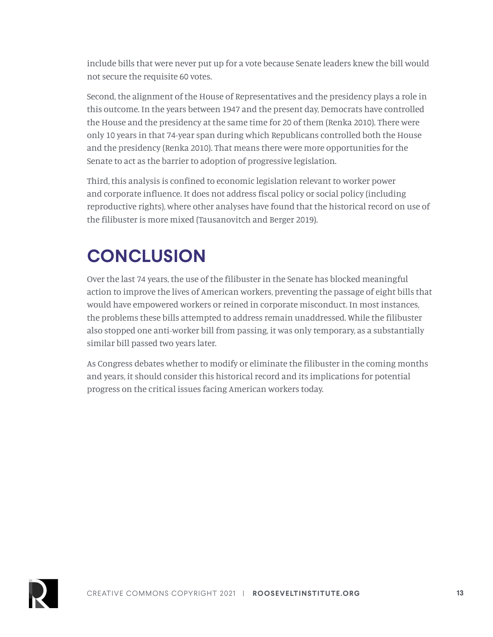include bills that were never put up for a vote because Senate leaders knew the bill would not secure the requisite 60 votes.

Second, the alignment of the House of Representatives and the presidency plays a role in this outcome. In the years between 1947 and the present day, Democrats have controlled the House and the presidency at the same time for 20 of them (Renka 2010). There were only 10 years in that 74-year span during which Republicans controlled both the House and the presidency (Renka 2010). That means there were more opportunities for the Senate to act as the barrier to adoption of progressive legislation.

Third, this analysis is confined to economic legislation relevant to worker power and corporate influence. It does not address fiscal policy or social policy (including reproductive rights), where other analyses have found that the historical record on use of the filibuster is more mixed (Tausanovitch and Berger 2019).

# **CONCLUSION**

Over the last 74 years, the use of the filibuster in the Senate has blocked meaningful action to improve the lives of American workers, preventing the passage of eight bills that would have empowered workers or reined in corporate misconduct. In most instances, the problems these bills attempted to address remain unaddressed. While the filibuster also stopped one anti-worker bill from passing, it was only temporary, as a substantially similar bill passed two years later.

As Congress debates whether to modify or eliminate the filibuster in the coming months and years, it should consider this historical record and its implications for potential progress on the critical issues facing American workers today.

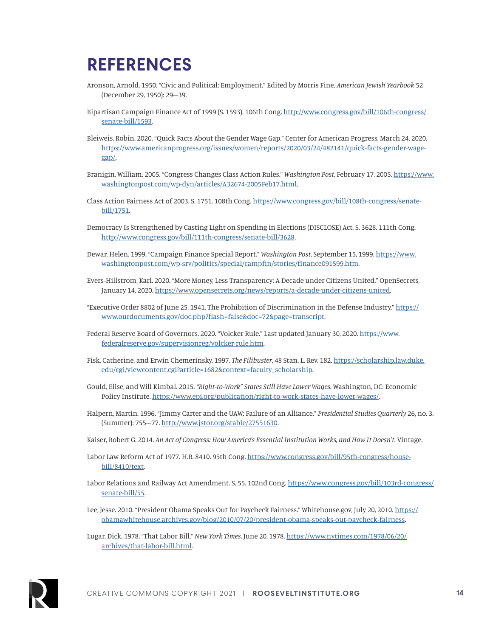# **REFERENCES**

- Aronson, Arnold. 1950. "Civic and Political: Employment." Edited by Morris Fine. *American Jewish Yearbook* 52 (December 29, 1950): 29–39.
- Bipartisan Campaign Finance Act of 1999 (S. 1593). 106th Cong. [http://www.congress.gov/bill/106th-congress/](http://www.congress.gov/bill/106th-congress/senate-bill/1593) [senate-bill/1593](http://www.congress.gov/bill/106th-congress/senate-bill/1593).
- Bleiweis, Robin. 2020. "Quick Facts About the Gender Wage Gap." Center for American Progress, March 24, 2020. [https://www.americanprogress.org/issues/women/reports/2020/03/24/482141/quick-facts-gender-wage](https://www.americanprogress.org/issues/women/reports/2020/03/24/482141/quick-facts-gender-wage-gap/)[gap/](https://www.americanprogress.org/issues/women/reports/2020/03/24/482141/quick-facts-gender-wage-gap/).
- Branigin, William. 2005. "Congress Changes Class Action Rules." *Washington Post*, February 17, 2005. [https://www.](https://www.washingtonpost.com/wp-dyn/articles/A32674-2005Feb17.html) [washingtonpost.com/wp-dyn/articles/A32674-2005Feb17.html.](https://www.washingtonpost.com/wp-dyn/articles/A32674-2005Feb17.html)
- Class Action Fairness Act of 2003. S. 1751. 108th Cong. [https://www.congress.gov/bill/108th-congress/senate](https://www.congress.gov/bill/108th-congress/senate-bill/1751)[bill/1751](https://www.congress.gov/bill/108th-congress/senate-bill/1751).
- Democracy Is Strengthened by Casting Light on Spending in Elections (DISCLOSE) Act. S. 3628. 111th Cong. [http://www.congress.gov/bill/111th-congress/senate-bill/3628.](http://www.congress.gov/bill/111th-congress/senate-bill/3628)
- Dewar, Helen. 1999. "Campaign Finance Special Report." *Washington Post*, September 15, 1999. [https://www.](https://www.washingtonpost.com/wp-srv/politics/special/campfin/stories/finance091599.htm) [washingtonpost.com/wp-srv/politics/special/campfin/stories/finance091599.htm](https://www.washingtonpost.com/wp-srv/politics/special/campfin/stories/finance091599.htm).
- Evers-Hillstrom, Karl. 2020. "More Money, Less Transparency: A Decade under Citizens United." OpenSecrets, January 14, 2020. <https://www.opensecrets.org/news/reports/a-decade-under-citizens-united>.
- "Executive Order 8802 of June 25, 1941, The Prohibition of Discrimination in the Defense Industry." [https://](https://www.ourdocuments.gov/doc.php?flash=false&doc=72&page=transcript) [www.ourdocuments.gov/doc.php?flash=false&doc=72&page=transcript.](https://www.ourdocuments.gov/doc.php?flash=false&doc=72&page=transcript)
- Federal Reserve Board of Governors. 2020. "Volcker Rule." Last updated January 30, 2020. [https://www.](https://www.federalreserve.gov/supervisionreg/volcker-rule.htm) [federalreserve.gov/supervisionreg/volcker-rule.htm](https://www.federalreserve.gov/supervisionreg/volcker-rule.htm).
- Fisk, Catherine, and Erwin Chemerinsky. 1997. *The Filibuster*, 48 Stan. L. Rev. 182. [https://scholarship.law.duke.](https://scholarship.law.duke.edu/cgi/viewcontent.cgi?article=1682&context=faculty_scholarship) [edu/cgi/viewcontent.cgi?article=1682&context=faculty\\_scholarship](https://scholarship.law.duke.edu/cgi/viewcontent.cgi?article=1682&context=faculty_scholarship).
- Gould, Elise, and Will Kimbal. 2015. *"Right-to-Work" States Still Have Lower Wages*. Washington, DC: Economic Policy Institute. [https://www.epi.org/publication/right-to-work-states-have-lower-wages/.](https://www.epi.org/publication/right-to-work-states-have-lower-wages/)
- Halpern, Martin. 1996. "Jimmy Carter and the UAW: Failure of an Alliance." *Presidential Studies Quarterly* 26, no. 3. (Summer): 755–77. [http://www.jstor.org/stable/27551630.](http://www.jstor.org/stable/27551630)
- Kaiser, Robert G. 2014. *An Act of Congress: How America's Essential Institution Works, and How It Doesn't*. Vintage.
- Labor Law Reform Act of 1977. H.R. 8410. 95th Cong. [https://www.congress.gov/bill/95th-congress/house](https://www.congress.gov/bill/95th-congress/house-bill/8410/text)[bill/8410/text.](https://www.congress.gov/bill/95th-congress/house-bill/8410/text)
- Labor Relations and Railway Act Amendment. S. 55. 102nd Cong. [https://www.congress.gov/bill/103rd-congress/](https://www.congress.gov/bill/103rd-congress/senate-bill/55) [senate-bill/55](https://www.congress.gov/bill/103rd-congress/senate-bill/55).
- Lee, Jesse. 2010. "President Obama Speaks Out for Paycheck Fairness." Whitehouse.gov, July 20, 2010. [https://](https://obamawhitehouse.archives.gov/blog/2010/07/20/president-obama-speaks-out-paycheck-fairness) [obamawhitehouse.archives.gov/blog/2010/07/20/president-obama-speaks-out-paycheck-fairness.](https://obamawhitehouse.archives.gov/blog/2010/07/20/president-obama-speaks-out-paycheck-fairness)
- Lugar, Dick. 1978. "That Labor Bill." *New York Times*, June 20, 1978. [https://www.nytimes.com/1978/06/20/](https://www.nytimes.com/1978/06/20/archives/that-labor-bill.html) [archives/that-labor-bill.html](https://www.nytimes.com/1978/06/20/archives/that-labor-bill.html).

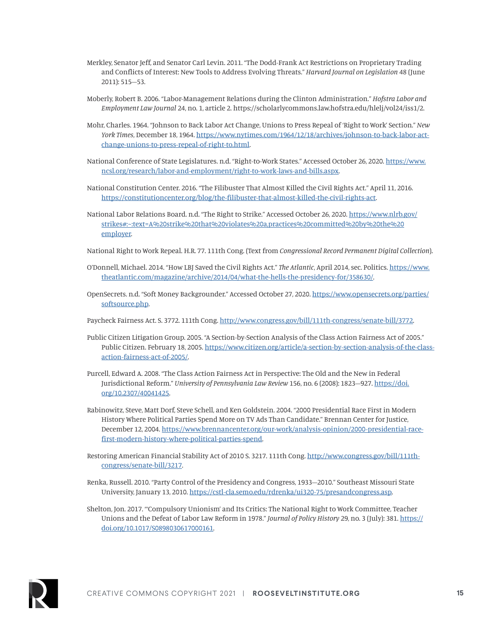- Merkley, Senator Jeff, and Senator Carl Levin. 2011. "The Dodd-Frank Act Restrictions on Proprietary Trading and Conflicts of Interest: New Tools to Address Evolving Threats." *Harvard Journal on Legislation* 48 (June 2011): 515–53.
- Moberly, Robert B. 2006. "Labor-Management Relations during the Clinton Administration." *Hofstra Labor and Employment Law Journal* 24, no. 1, article 2. https://scholarlycommons.law.hofstra.edu/hlelj/vol24/iss1/2.
- Mohr, Charles. 1964. "Johnson to Back Labor Act Change, Unions to Press Repeal of 'Right to Work' Section." *New York Times*, December 18, 1964. [https://www.nytimes.com/1964/12/18/archives/johnson-to-back-labor-act](https://www.nytimes.com/1964/12/18/archives/johnson-to-back-labor-act-change-unions-to-press-repeal-of-right-to.html)[change-unions-to-press-repeal-of-right-to.html.](https://www.nytimes.com/1964/12/18/archives/johnson-to-back-labor-act-change-unions-to-press-repeal-of-right-to.html)
- National Conference of State Legislatures. n.d. "Right-to-Work States." Accessed October 26, 2020. [https://www.](https://www.ncsl.org/research/labor-and-employment/right-to-work-laws-and-bills.aspx) [ncsl.org/research/labor-and-employment/right-to-work-laws-and-bills.aspx.](https://www.ncsl.org/research/labor-and-employment/right-to-work-laws-and-bills.aspx)
- National Constitution Center. 2016. "The Filibuster That Almost Killed the Civil Rights Act." April 11, 2016. [https://constitutioncenter.org/blog/the-filibuster-that-almost-killed-the-civil-rights-act.](https://constitutioncenter.org/blog/the-filibuster-that-almost-killed-the-civil-rights-act)
- National Labor Relations Board. n.d. "The Right to Strike." Accessed October 26, 2020. [https://www.nlrb.gov/](https://www.nlrb.gov/strikes#:~:text=A%20strike%20that%20violates%20a,practices%20committed%20by%20the%20employer) [strikes#:~:text=A%20strike%20that%20violates%20a,practices%20committed%20by%20the%20](https://www.nlrb.gov/strikes#:~:text=A%20strike%20that%20violates%20a,practices%20committed%20by%20the%20employer) [employer.](https://www.nlrb.gov/strikes#:~:text=A%20strike%20that%20violates%20a,practices%20committed%20by%20the%20employer)
- National Right to Work Repeal. H.R. 77. 111th Cong. (Text from *Congressional Record Permanent Digital Collection*).
- O'Donnell, Michael. 2014. "How LBJ Saved the Civil Rights Act." *The Atlantic*, April 2014, sec. Politics. [https://www.](https://www.theatlantic.com/magazine/archive/2014/04/what-the-hells-the-presidency-for/358630/) [theatlantic.com/magazine/archive/2014/04/what-the-hells-the-presidency-for/358630/.](https://www.theatlantic.com/magazine/archive/2014/04/what-the-hells-the-presidency-for/358630/)
- OpenSecrets. n.d. "Soft Money Backgrounder." Accessed October 27, 2020. [https://www.opensecrets.org/parties/](https://www.opensecrets.org/parties/softsource.php) [softsource.php](https://www.opensecrets.org/parties/softsource.php).
- Paycheck Fairness Act. S. 3772. 111th Cong. [http://www.congress.gov/bill/111th-congress/senate-bill/3772.](http://www.congress.gov/bill/111th-congress/senate-bill/3772)
- Public Citizen Litigation Group. 2005. "A Section-by-Section Analysis of the Class Action Fairness Act of 2005." Public Citizen. February 18, 2005. [https://www.citizen.org/article/a-section-by-section-analysis-of-the-class](https://www.citizen.org/article/a-section-by-section-analysis-of-the-class-action-fairness-act-of-2005/)[action-fairness-act-of-2005/](https://www.citizen.org/article/a-section-by-section-analysis-of-the-class-action-fairness-act-of-2005/).
- Purcell, Edward A. 2008. "The Class Action Fairness Act in Perspective: The Old and the New in Federal Jurisdictional Reform." *University of Pennsylvania Law Review* 156, no. 6 (2008): 1823–927. [https://doi.](https://doi.org/10.2307/40041425) [org/10.2307/40041425](https://doi.org/10.2307/40041425).
- Rabinowitz, Steve, Matt Dorf, Steve Schell, and Ken Goldstein. 2004. "2000 Presidential Race First in Modern History Where Political Parties Spend More on TV Ads Than Candidate." Brennan Center for Justice, December 12, 2004. [https://www.brennancenter.org/our-work/analysis-opinion/2000-presidential-race](https://www.brennancenter.org/our-work/analysis-opinion/2000-presidential-race-first-modern-history-where-political-parties-spend)[first-modern-history-where-political-parties-spend.](https://www.brennancenter.org/our-work/analysis-opinion/2000-presidential-race-first-modern-history-where-political-parties-spend)
- Restoring American Financial Stability Act of 2010 S. 3217. 111th Cong. [http://www.congress.gov/bill/111th](http://www.congress.gov/bill/111th-congress/senate-bill/3217)[congress/senate-bill/3217](http://www.congress.gov/bill/111th-congress/senate-bill/3217).
- Renka, Russell. 2010. "Party Control of the Presidency and Congress, 1933–2010." Southeast Missouri State University, January 13, 2010. [https://cstl-cla.semo.edu/rdrenka/ui320-75/presandcongress.asp.](https://cstl-cla.semo.edu/rdrenka/ui320-75/presandcongress.asp)
- Shelton, Jon. 2017. "'Compulsory Unionism' and Its Critics: The National Right to Work Committee, Teacher Unions and the Defeat of Labor Law Reform in 1978." *Journal of Policy History* 29, no. 3 (July): 381. [https://](https://doi.org/10.1017/S0898030617000161) [doi.org/10.1017/S0898030617000161.](https://doi.org/10.1017/S0898030617000161)

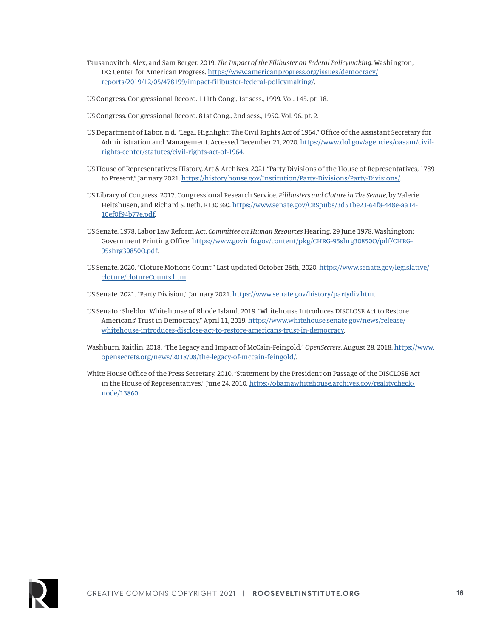- Tausanovitch, Alex, and Sam Berger. 2019. *The Impact of the Filibuster on Federal Policymaking*. Washington, DC: Center for American Progress. [https://www.americanprogress.org/issues/democracy/](https://www.americanprogress.org/issues/democracy/reports/2019/12/05/478199/impact-filibuster-federal-policymaking/) [reports/2019/12/05/478199/impact-filibuster-federal-policymaking/](https://www.americanprogress.org/issues/democracy/reports/2019/12/05/478199/impact-filibuster-federal-policymaking/).
- US Congress. Congressional Record. 111th Cong., 1st sess., 1999. Vol. 145. pt. 18.
- US Congress. Congressional Record. 81st Cong., 2nd sess., 1950. Vol. 96. pt. 2.
- US Department of Labor. n.d. "Legal Highlight: The Civil Rights Act of 1964." Office of the Assistant Secretary for Administration and Management. Accessed December 21, 2020. [https://www.dol.gov/agencies/oasam/civil](https://www.dol.gov/agencies/oasam/civil-rights-center/statutes/civil-rights-act-of-1964)[rights-center/statutes/civil-rights-act-of-1964.](https://www.dol.gov/agencies/oasam/civil-rights-center/statutes/civil-rights-act-of-1964)
- US House of Representatives: History, Art & Archives. 2021 "Party Divisions of the House of Representatives, 1789 to Present," January 2021.<https://history.house.gov/Institution/Party-Divisions/Party-Divisions/>.
- US Library of Congress. 2017. Congressional Research Service. *Filibusters and Cloture in The Senate*, by Valerie Heitshusen, and Richard S. Beth. RL30360. [https://www.senate.gov/CRSpubs/3d51be23-64f8-448e-aa14-](https://www.senate.gov/CRSpubs/3d51be23-64f8-448e-aa14-10ef0f94b77e.pdf) [10ef0f94b77e.pdf](https://www.senate.gov/CRSpubs/3d51be23-64f8-448e-aa14-10ef0f94b77e.pdf).
- US Senate. 1978. Labor Law Reform Act. *Committee on Human Resources* Hearing, 29 June 1978. Washington: Government Printing Office. [https://www.govinfo.gov/content/pkg/CHRG-95shrg30850O/pdf/CHRG-](https://www.govinfo.gov/content/pkg/CHRG-95shrg30850O/pdf/CHRG-95shrg30850O.pdf)[95shrg30850O.pdf.](https://www.govinfo.gov/content/pkg/CHRG-95shrg30850O/pdf/CHRG-95shrg30850O.pdf)
- US Senate. 2020. "Cloture Motions Count." Last updated October 26th, 2020. [https://www.senate.gov/legislative/](https://www.senate.gov/legislative/cloture/clotureCounts.htm) [cloture/clotureCounts.htm](https://www.senate.gov/legislative/cloture/clotureCounts.htm).
- US Senate. 2021. "Party Division," January 2021. [https://www.senate.gov/history/partydiv.htm.](https://www.senate.gov/history/partydiv.htm)
- US Senator Sheldon Whitehouse of Rhode Island. 2019. "Whitehouse Introduces DISCLOSE Act to Restore Americans' Trust in Democracy." April 11, 2019. [https://www.whitehouse.senate.gov/news/release/](https://www.whitehouse.senate.gov/news/release/whitehouse-introduces-disclose-act-to-restore-americans-trust-in-democracy) [whitehouse-introduces-disclose-act-to-restore-americans-trust-in-democracy.](https://www.whitehouse.senate.gov/news/release/whitehouse-introduces-disclose-act-to-restore-americans-trust-in-democracy)
- Washburn, Kaitlin. 2018. "The Legacy and Impact of McCain-Feingold." *OpenSecrets*, August 28, 2018. [https://www.](https://www.opensecrets.org/news/2018/08/the-legacy-of-mccain-feingold/) [opensecrets.org/news/2018/08/the-legacy-of-mccain-feingold/.](https://www.opensecrets.org/news/2018/08/the-legacy-of-mccain-feingold/)
- White House Office of the Press Secretary. 2010. "Statement by the President on Passage of the DISCLOSE Act in the House of Representatives." June 24, 2010. [https://obamawhitehouse.archives.gov/realitycheck/](https://obamawhitehouse.archives.gov/realitycheck/node/13860) [node/13860.](https://obamawhitehouse.archives.gov/realitycheck/node/13860)